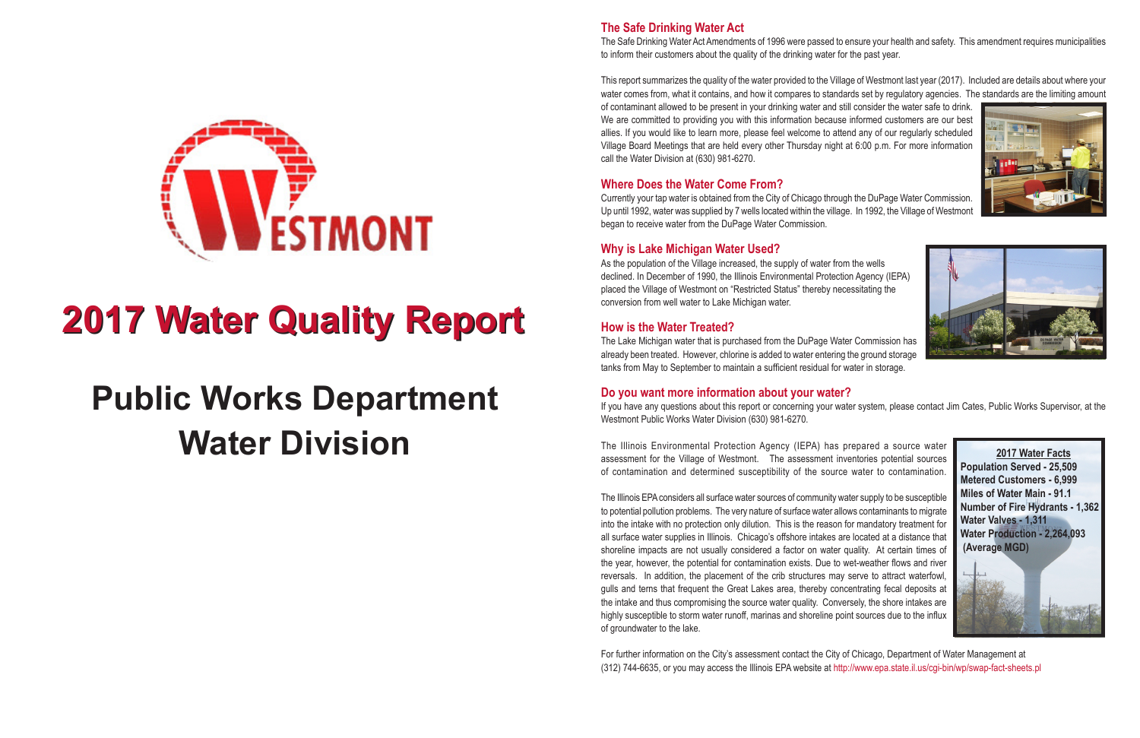#### **The Safe Drinking Water Act**

The Safe Drinking Water Act Amendments of 1996 were passed to ensure your health and safety. This amendment requires municipalities to inform their customers about the quality of the drinking water for the past year.

This report summarizes the quality of the water provided to the Village of Westmont last year (2017). Included are details about where your water comes from, what it contains, and how it compares to standards set by regulatory agencies. The standards are the limiting amount of contaminant allowed to be present in your drinking water and still consider the water safe to drink. We are committed to providing you with this information because informed customers are our best allies. If you would like to learn more, please feel welcome to attend any of our regularly scheduled Village Board Meetings that are held every other Thursday night at 6:00 p.m. For more information call the Water Division at (630) 981-6270.

#### **Where Does the Water Come From?**

Currently your tap water is obtained from the City of Chicago through the DuPage Water Commission. Up until 1992, water was supplied by 7 wells located within the village. In 1992, the Village of Westmont began to receive water from the DuPage Water Commission.

#### **Why is Lake Michigan Water Used?**

As the population of the Village increased, the supply of water from the wells declined. In December of 1990, the Illinois Environmental Protection Agency (IEPA) placed the Village of Westmont on "Restricted Status" thereby necessitating the conversion from well water to Lake Michigan water.

### **How is the Water Treated?**

The Lake Michigan water that is purchased from the DuPage Water Commission has already been treated. However, chlorine is added to water entering the ground storage tanks from May to September to maintain a sufficient residual for water in storage.

#### **Do you want more information about your water?**

If you have any questions about this report or concerning your water system, please contact Jim Cates, Public Works Supervisor, at the Westmont Public Works Water Division (630) 981-6270.

The Illinois Environmental Protection Agency (IEPA) has prepared a source water assessment for the Village of Westmont. The assessment inventories potential sources of contamination and determined susceptibility of the source water to contamination.

The Illinois EPA considers all surface water sources of community water supply to be susceptible to potential pollution problems. The very nature of surface water allows contaminants to migrate into the intake with no protection only dilution. This is the reason for mandatory treatment for all surface water supplies in Illinois. Chicago's offshore intakes are located at a distance that shoreline impacts are not usually considered a factor on water quality. At certain times of the year, however, the potential for contamination exists. Due to wet-weather flows and river reversals. In addition, the placement of the crib structures may serve to attract waterfowl, gulls and terns that frequent the Great Lakes area, thereby concentrating fecal deposits at the intake and thus compromising the source water quality. Conversely, the shore intakes are highly susceptible to storm water runoff, marinas and shoreline point sources due to the influx of groundwater to the lake.

For further information on the City's assessment contact the City of Chicago, Department of Water Management at (312) 744-6635, or you may access the Illinois EPA website at http://www.epa.state.il.us/cgi-bin/wp/swap-fact-sheets.pl









# **2017 Water Quality Report 2017 Water Quality Report**

## **Public Works Department Water Division**